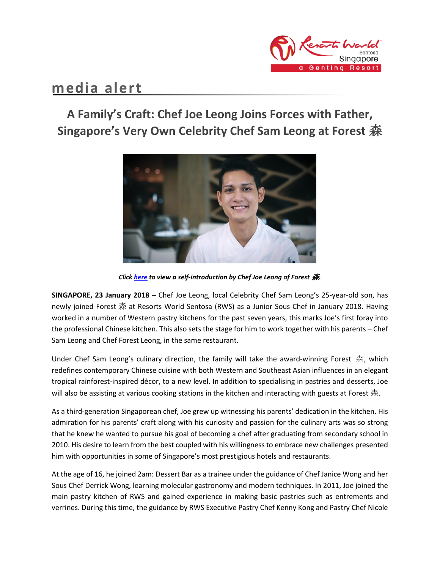

# **media alert**

# **A Family's Craft: Chef Joe Leong Joins Forces with Father, Singapore's Very Own Celebrity Chef Sam Leong at Forest** 森



*Clic[k here](https://youtu.be/xNhUUDy974M) to view a self-introduction by Chef Joe Leong of Forest* 森*.*

**SINGAPORE, 23 January 2018** – Chef Joe Leong, local Celebrity Chef Sam Leong's 25-year-old son, has newly joined Forest 森 at Resorts World Sentosa (RWS) as a Junior Sous Chef in January 2018. Having worked in a number of Western pastry kitchens for the past seven years, this marks Joe's first foray into the professional Chinese kitchen. This also sets the stage for him to work together with his parents – Chef Sam Leong and Chef Forest Leong, in the same restaurant.

Under Chef Sam Leong's culinary direction, the family will take the award-winning Forest 森, which redefines contemporary Chinese cuisine with both Western and Southeast Asian influences in an elegant tropical rainforest-inspired décor, to a new level. In addition to specialising in pastries and desserts, Joe will also be assisting at various cooking stations in the kitchen and interacting with guests at Forest  $\mathcal{F}$ .

As a third-generation Singaporean chef, Joe grew up witnessing his parents' dedication in the kitchen. His admiration for his parents' craft along with his curiosity and passion for the culinary arts was so strong that he knew he wanted to pursue his goal of becoming a chef after graduating from secondary school in 2010. His desire to learn from the best coupled with his willingness to embrace new challenges presented him with opportunities in some of Singapore's most prestigious hotels and restaurants.

At the age of 16, he joined 2am: Dessert Bar as a trainee under the guidance of Chef Janice Wong and her Sous Chef Derrick Wong, learning molecular gastronomy and modern techniques. In 2011, Joe joined the main pastry kitchen of RWS and gained experience in making basic pastries such as entrements and verrines. During this time, the guidance by RWS Executive Pastry Chef Kenny Kong and Pastry Chef Nicole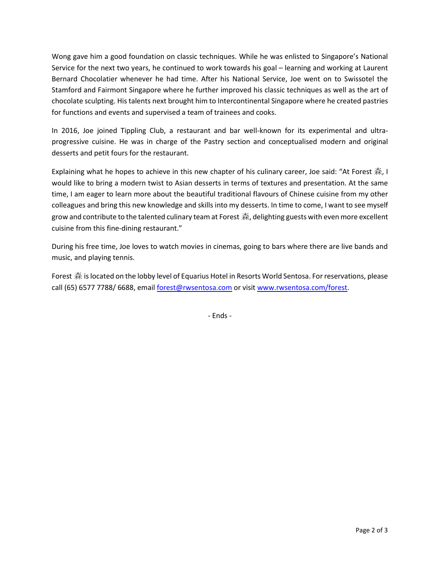Wong gave him a good foundation on classic techniques. While he was enlisted to Singapore's National Service for the next two years, he continued to work towards his goal – learning and working at Laurent Bernard Chocolatier whenever he had time. After his National Service, Joe went on to Swissotel the Stamford and Fairmont Singapore where he further improved his classic techniques as well as the art of chocolate sculpting. His talents next brought him to Intercontinental Singapore where he created pastries for functions and events and supervised a team of trainees and cooks.

In 2016, Joe joined Tippling Club, a restaurant and bar well-known for its experimental and ultraprogressive cuisine. He was in charge of the Pastry section and conceptualised modern and original desserts and petit fours for the restaurant.

Explaining what he hopes to achieve in this new chapter of his culinary career, Joe said: "At Forest 森, I would like to bring a modern twist to Asian desserts in terms of textures and presentation. At the same time, I am eager to learn more about the beautiful traditional flavours of Chinese cuisine from my other colleagues and bring this new knowledge and skills into my desserts. In time to come, I want to see myself grow and contribute to the talented culinary team at Forest  $\hat{\pi}$ , delighting guests with even more excellent cuisine from this fine-dining restaurant."

During his free time, Joe loves to watch movies in cinemas, going to bars where there are live bands and music, and playing tennis.

Forest 森 is located on the lobby level of Equarius Hotel in Resorts World Sentosa. For reservations, please call (65) 6577 7788/ 6688, email [forest@rwsentosa.com](mailto:forest@rwsentosa.com) or visit [www.rwsentosa.com/forest.](http://www.rwsentosa.com/forest)

- Ends -